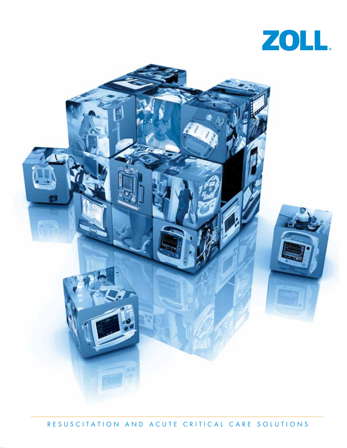

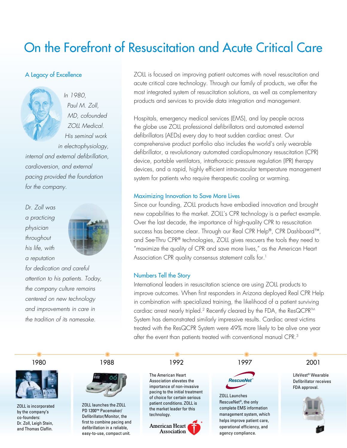# On the Forefront of Resuscitation and Acute Critical Care

# A Legacy of Excellence



*In 1980, Paul M. Zoll, MD, cofounded ZOLL Medical. His seminal work in electrophysiology,* 

*internal and external defibrillation, cardioversion, and external pacing provided the foundation for the company.* 

*Dr. Zoll was a practicing physician throughout his life, with a reputation* 



*for dedication and careful attention to his patients. Today, the company culture remains centered on new technology and improvements in care in the tradition of its namesake.*

ZOLL is focused on improving patient outcomes with novel resuscitation and acute critical care technology. Through our family of products, we offer the most integrated system of resuscitation solutions, as well as complementary products and services to provide data integration and management.

Hospitals, emergency medical services (EMS), and lay people across the globe use ZOLL professional defibrillators and automated external defibrillators (AEDs) every day to treat sudden cardiac arrest. Our comprehensive product portfolio also includes the world's only wearable defibrillator, a revolutionary automated cardiopulmonary resuscitation (CPR) device, portable ventilators, intrathoracic pressure regulation (IPR) therapy devices, and a rapid, highly efficient intravascular temperature management system for patients who require therapeutic cooling or warming.

### Maximizing Innovation to Save More Lives

Since our founding, ZOLL products have embodied innovation and brought new capabilities to the market. ZOLL's CPR technology is a perfect example. Over the last decade, the importance of high-quality CPR to resuscitation success has become clear. Through our Real CPR Help®, CPR Dashboard™, and See-Thru CPR® technologies, ZOLL gives rescuers the tools they need to "maximize the quality of CPR and save more lives," as the American Heart Association CPR quality consensus statement calls for. 1

## Numbers Tell the Story

International leaders in resuscitation science are using ZOLL products to improve outcomes. When first responders in Arizona deployed Real CPR Help in combination with specialized training, the likelihood of a patient surviving cardiac arrest nearly tripled.<sup>2</sup> Recently cleared by the FDA, the ResQCPR™ System has demonstrated similarly impressive results. Cardiac arrest victims treated with the ResQCPR System were 49% more likely to be alive one year after the event than patients treated with conventional manual CPR.<sup>3</sup>



ZOLL is incorporated by the company's co-founders: Dr. Zoll, Leigh Stein, and Thomas Claflin.



ZOLL launches the ZOLL PD 1200™ Pacemaker/ Defibrillator/Monitor, the first to combine pacing and defibrillation in a reliable, easy-to-use, compact unit.

The American Heart Association elevates the importance of non-invasive pacing to the initial treatment of choice for certain serious patient conditions. ZOLL is the market leader for this technology.



1980 1988 1992 1997 2001



ZOLL Launches RescueNet®, the only complete EMS information management system, which helps improve patient care, operational efficiency, and agency compliance.

LifeVest® Wearable Defibrillator receives FDA approval.

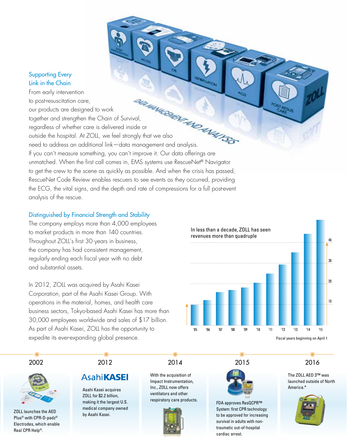# Supporting Every Link in the Chain

From early intervention to post-resuscitation care, our products are designed to work to post-resuscitation care,<br>our products are designed to work<br>together and strengthen the Chain of Survival,<br>that we also<br>the care is delivered inside or regardless of whether care is delivered inside or outside the hospital. At ZOLL, we feel strongly that we also need to address an additional link—data management and analysis. If you can't measure something, you can't improve it. Our data offerings are unmatched. When the first call comes in, EMS systems use RescueNet<sup>®</sup> Navigator to get the crew to the scene as quickly as possible. And when the crisis has passed, RescueNet Code Review enables rescuers to see events as they occurred, providing the ECG, the vital signs, and the depth and rate of compressions for a full post-event analysis of the rescue.

# Distinguished by Financial Strength and Stability

The company employs more than 4,000 employees to market products in more than 140 countries. Throughout ZOLL's first 30 years in business, the company has had consistent management, regularly ending each fiscal year with no debt and substantial assets.

In 2012, ZOLL was acquired by Asahi Kasei Corporation, part of the Asahi Kasei Group. With operations in the material, homes, and health care business sectors, Tokyo-based Asahi Kasei has more than 30,000 employees worldwide and sales of \$17 billion. As part of Asahi Kasei, ZOLL has the opportunity to expedite its ever-expanding global presence.



ZOLL launches the AED Plus® with CPR-D-padz® Electrodes, which enable Real CPR Help®.

# **AsahiKASEI**

Asahi Kasei acquires ZOLL for \$2.2 billion, making it the largest U.S. medical company owned by Asahi Kasei.

2002 2012 2014 2015 2016

With the acquisition of Impact Instrumentation, Inc., ZOLL now offers ventilators and other respiratory care products.



FDA approves ResQCPR™ System: first CPR technology to be approved for increasing survival in adults with nontraumatic out-of-hospital cardiac arrest.

The ZOLL AED 3™ was launched outside of North America.\*